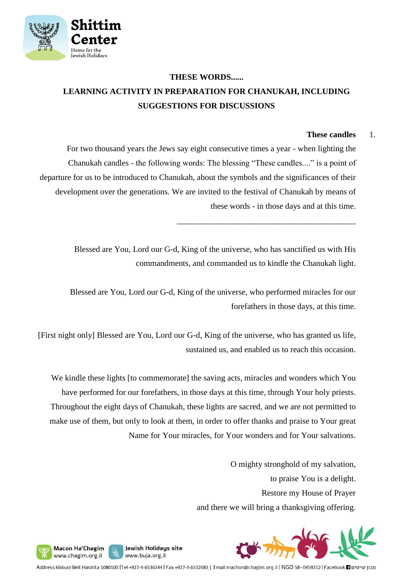

## **THESE WORDS...... LEARNING ACTIVITY IN PREPARATION FOR CHANUKAH, INCLUDING SUGGESTIONS FOR DISCUSSIONS**

### **These candles** 1.

For two thousand years the Jews say eight consecutive times a year - when lighting the Chanukah candles - the following words: The blessing "These candles...." is a point of departure for us to be introduced to Chanukah, about the symbols and the significances of their development over the generations. We are invited to the festival of Chanukah by means of these words - in those days and at this time.

> Blessed are You, Lord our G-d, King of the universe, who has sanctified us with His commandments, and commanded us to kindle the Chanukah light.

\_\_\_\_\_\_\_\_\_\_\_\_\_\_\_\_\_\_\_\_\_\_\_\_\_\_\_\_\_\_\_\_\_\_\_\_\_\_\_\_\_\_\_

Blessed are You, Lord our G-d, King of the universe, who performed miracles for our forefathers in those days, at this time.

[First night only] Blessed are You, Lord our G-d, King of the universe, who has granted us life, sustained us, and enabled us to reach this occasion.

We kindle these lights [to commemorate] the saving acts, miracles and wonders which You have performed for our forefathers, in those days at this time, through Your holy priests. Throughout the eight days of Chanukah, these lights are sacred, and we are not permitted to make use of them, but only to look at them, in order to offer thanks and praise to Your great Name for Your miracles, for Your wonders and for Your salvations.

> O mighty stronghold of my salvation, to praise You is a delight. Restore my House of Prayer and there we will bring a thanksgiving offering.





Macon Ha'Chagim

www.chagim.org.il

Address Kibbutz Beit Hashita 1080100 |Tel +927-4-6536344 | Fax +927-4-6532683 | Email machon@chagim.org.il | NGO 58-0459212 | Facebook 1 מכון שיטים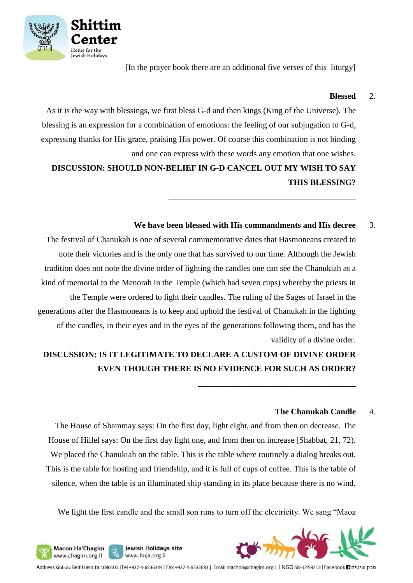

[In the prayer book there are an additional five verses of this liturgy]

#### **Blessed** 2.

As it is the way with blessings, we first bless G-d and then kings (King of the Universe). The blessing is an expression for a combination of emotions: the feeling of our subjugation to G-d, expressing thanks for His grace, praising His power. Of course this combination is not binding and one can express with these words any emotion that one wishes.

**DISCUSSION: SHOULD NON-BELIEF IN G-D CANCEL OUT MY WISH TO SAY THIS BLESSING?**

#### **We have been blessed with His commandments and His decree** 3.

\_\_\_\_\_\_\_\_\_\_\_\_\_\_\_\_\_\_\_\_\_\_\_\_\_\_\_\_\_\_\_\_\_\_\_\_\_\_\_\_\_\_\_\_\_

**\_\_\_\_\_\_\_\_\_\_\_\_\_\_\_\_\_\_\_\_\_\_\_\_\_\_\_\_\_\_\_\_\_\_\_\_\_\_**

The festival of Chanukah is one of several commemorative dates that Hasmoneans created to note their victories and is the only one that has survived to our time. Although the Jewish tradition does not note the divine order of lighting the candles one can see the Chanukiah as a kind of memorial to the Menorah in the Temple (which had seven cups) whereby the priests in the Temple were ordered to light their candles. The ruling of the Sages of Israel in the generations after the Hasmoneans is to keep and uphold the festival of Chanukah in the lighting of the candles, in their eyes and in the eyes of the generations following them, and has the validity of a divine order.

## **DISCUSSION: IS IT LEGITIMATE TO DECLARE A CUSTOM OF DIVINE ORDER EVEN THOUGH THERE IS NO EVIDENCE FOR SUCH AS ORDER?**

#### **The Chanukah Candle** 4.

The House of Shammay says: On the first day, light eight, and from then on decrease. The House of Hillel says: On the first day light one, and from then on increase [Shabbat, 21, 72). We placed the Chanukiah on the table. This is the table where routinely a dialog breaks out. This is the table for hosting and friendship, and it is full of cups of coffee. This is the table of silence, when the table is an illuminated ship standing in its place because there is no wind.

We light the first candle and the small son runs to turn off the electricity. We sang "Maoz



Jewish Holidays site

www.buja.org.il

Macon Ha'Chagim

www.chagim.org.il

U)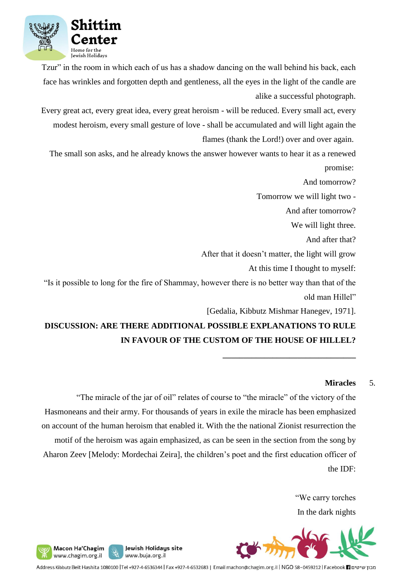

Tzur" in the room in which each of us has a shadow dancing on the wall behind his back, each face has wrinkles and forgotten depth and gentleness, all the eyes in the light of the candle are alike a successful photograph.

Every great act, every great idea, every great heroism - will be reduced. Every small act, every modest heroism, every small gesture of love - shall be accumulated and will light again the flames (thank the Lord!) over and over again.

The small son asks, and he already knows the answer however wants to hear it as a renewed promise:

And tomorrow?

Tomorrow we will light two -

And after tomorrow?

We will light three.

And after that?

After that it doesn't matter, the light will grow

At this time I thought to myself:

"Is it possible to long for the fire of Shammay, however there is no better way than that of the old man Hillel"

[Gedalia, Kibbutz Mishmar Hanegev, 1971].

**\_\_\_\_\_\_\_\_\_\_\_\_\_\_\_\_\_\_\_\_\_\_\_\_\_\_\_\_\_\_\_\_**

# **DISCUSSION: ARE THERE ADDITIONAL POSSIBLE EXPLANATIONS TO RULE IN FAVOUR OF THE CUSTOM OF THE HOUSE OF HILLEL?**

#### **Miracles** 5.

"The miracle of the jar of oil" relates of course to "the miracle" of the victory of the Hasmoneans and their army. For thousands of years in exile the miracle has been emphasized on account of the human heroism that enabled it. With the the national Zionist resurrection the motif of the heroism was again emphasized, as can be seen in the section from the song by Aharon Zeev [Melody: Mordechai Zeira], the children's poet and the first education officer of the IDF:

> "We carry torches In the dark nights



Jewish Holidays site y, www.buja.org.il

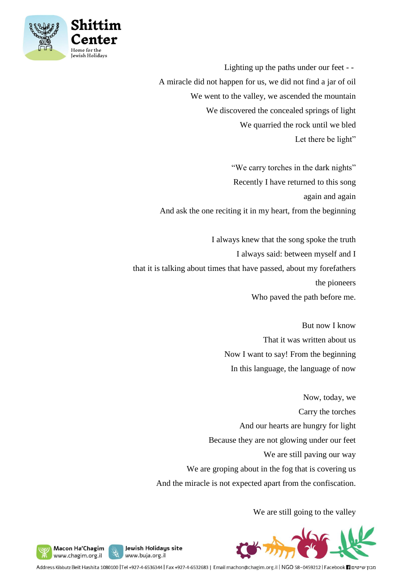

Lighting up the paths under our feet - - A miracle did not happen for us, we did not find a jar of oil We went to the valley, we ascended the mountain We discovered the concealed springs of light We quarried the rock until we bled Let there be light"

"We carry torches in the dark nights" Recently I have returned to this song again and again And ask the one reciting it in my heart, from the beginning

I always knew that the song spoke the truth I always said: between myself and I that it is talking about times that have passed, about my forefathers the pioneers Who paved the path before me.

> But now I know That it was written about us Now I want to say! From the beginning In this language, the language of now

Now, today, we Carry the torches And our hearts are hungry for light Because they are not glowing under our feet We are still paving our way We are groping about in the fog that is covering us And the miracle is not expected apart from the confiscation.

We are still going to the valley



Macon Ha'Chagim y, www.chagim.org.il

Address Kibbutz Beit Hashita 1080100 |Tel +927-4-6536344 | Fax +927-4-6532683 | Email machon@chagim.org.il | NGO 58-0459212 | Facebook | מבון שיטים

Jewish Holidays site

www.buja.org.il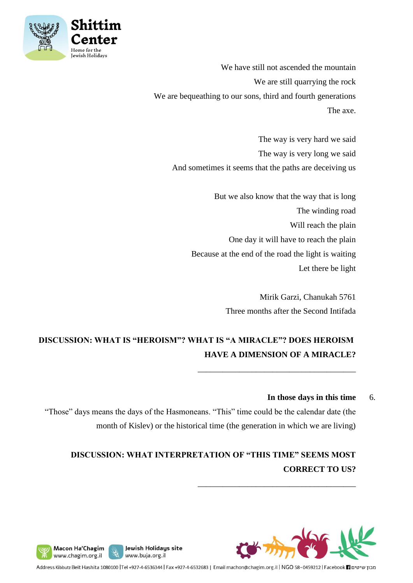

We have still not ascended the mountain We are still quarrying the rock We are bequeathing to our sons, third and fourth generations The axe.

The way is very hard we said The way is very long we said And sometimes it seems that the paths are deceiving us

> But we also know that the way that is long The winding road Will reach the plain One day it will have to reach the plain Because at the end of the road the light is waiting Let there be light

> > Mirik Garzi, Chanukah 5761 Three months after the Second Intifada

\_\_\_\_\_\_\_\_\_\_\_\_\_\_\_\_\_\_\_\_\_\_\_\_\_\_\_\_\_\_\_\_\_\_\_\_\_\_

\_\_\_\_\_\_\_\_\_\_\_\_\_\_\_\_\_\_\_\_\_\_\_\_\_\_\_\_\_\_\_\_\_\_\_\_\_\_

# **DISCUSSION: WHAT IS "HEROISM"? WHAT IS "A MIRACLE"? DOES HEROISM HAVE A DIMENSION OF A MIRACLE?**

#### In those days in this time 6.

"Those" days means the days of the Hasmoneans. "This" time could be the calendar date (the month of Kislev) or the historical time (the generation in which we are living)

# **DISCUSSION: WHAT INTERPRETATION OF "THIS TIME" SEEMS MOST CORRECT TO US?**





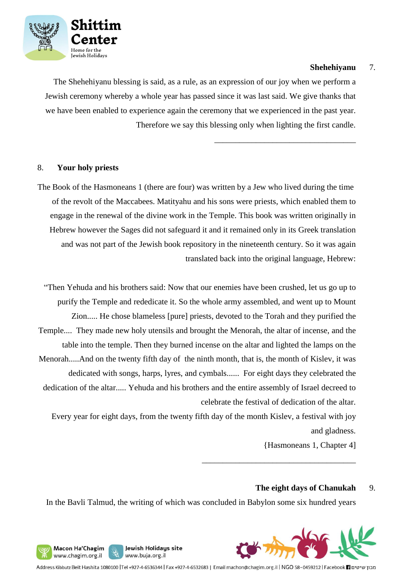

#### **Shehehiyanu** 7.

\_\_\_\_\_\_\_\_\_\_\_\_\_\_\_\_\_\_\_\_\_\_\_\_\_\_\_\_\_\_\_\_\_\_

The Shehehiyanu blessing is said, as a rule, as an expression of our joy when we perform a Jewish ceremony whereby a whole year has passed since it was last said. We give thanks that we have been enabled to experience again the ceremony that we experienced in the past year. Therefore we say this blessing only when lighting the first candle.

#### 8. **Your holy priests**

The Book of the Hasmoneans 1 (there are four) was written by a Jew who lived during the time of the revolt of the Maccabees. Matityahu and his sons were priests, which enabled them to engage in the renewal of the divine work in the Temple. This book was written originally in Hebrew however the Sages did not safeguard it and it remained only in its Greek translation and was not part of the Jewish book repository in the nineteenth century. So it was again translated back into the original language, Hebrew:

"Then Yehuda and his brothers said: Now that our enemies have been crushed, let us go up to purify the Temple and rededicate it. So the whole army assembled, and went up to Mount Zion..... He chose blameless [pure] priests, devoted to the Torah and they purified the Temple.... They made new holy utensils and brought the Menorah, the altar of incense, and the table into the temple. Then they burned incense on the altar and lighted the lamps on the Menorah.....And on the twenty fifth day of the ninth month, that is, the month of Kislev, it was dedicated with songs, harps, lyres, and cymbals...... For eight days they celebrated the dedication of the altar..... Yehuda and his brothers and the entire assembly of Israel decreed to celebrate the festival of dedication of the altar.

Every year for eight days, from the twenty fifth day of the month Kislev, a festival with joy and gladness.

{Hasmoneans 1, Chapter 4]

\_\_\_\_\_\_\_\_\_\_\_\_\_\_\_\_\_\_\_\_\_\_\_\_\_\_\_\_\_\_\_\_\_\_\_\_\_

#### **The eight days of Chanukah** 9.

In the Bavli Talmud, the writing of which was concluded in Babylon some six hundred years



Jewish Holidays site Macon Ha'Chagim y, www.chagim.org.il www.buja.org.il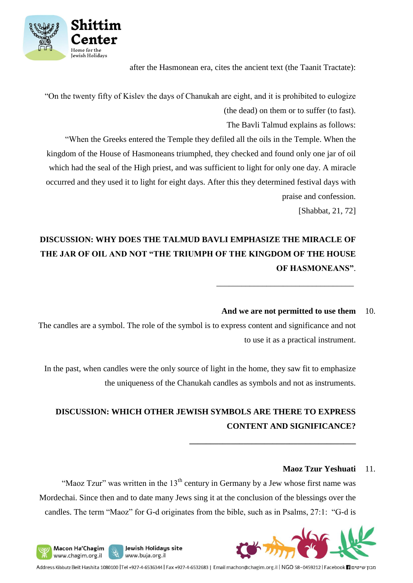

Macon Ha'Chagim

www.chagim.org.il

y,

after the Hasmonean era, cites the ancient text (the Taanit Tractate):

"On the twenty fifty of Kislev the days of Chanukah are eight, and it is prohibited to eulogize (the dead) on them or to suffer (to fast).

The Bavli Talmud explains as follows:

"When the Greeks entered the Temple they defiled all the oils in the Temple. When the kingdom of the House of Hasmoneans triumphed, they checked and found only one jar of oil which had the seal of the High priest, and was sufficient to light for only one day. A miracle occurred and they used it to light for eight days. After this they determined festival days with praise and confession.

[Shabbat, 21, 72]

# **DISCUSSION: WHY DOES THE TALMUD BAVLI EMPHASIZE THE MIRACLE OF THE JAR OF OIL AND NOT "THE TRIUMPH OF THE KINGDOM OF THE HOUSE OF HASMONEANS"**.

## **And we are not permitted to use them** 10.

\_\_\_\_\_\_\_\_\_\_\_\_\_\_\_\_\_\_\_\_\_\_\_\_\_\_\_\_\_\_\_\_\_

**\_\_\_\_\_\_\_\_\_\_\_\_\_\_\_\_\_\_\_\_\_\_\_\_\_\_\_\_\_\_\_\_\_\_\_\_\_\_\_\_**

The candles are a symbol. The role of the symbol is to express content and significance and not to use it as a practical instrument.

In the past, when candles were the only source of light in the home, they saw fit to emphasize the uniqueness of the Chanukah candles as symbols and not as instruments.

# **DISCUSSION: WHICH OTHER JEWISH SYMBOLS ARE THERE TO EXPRESS CONTENT AND SIGNIFICANCE?**

#### **Maoz Tzur Yeshuati** 11.

"Maoz Tzur" was written in the  $13<sup>th</sup>$  century in Germany by a Jew whose first name was Mordechai. Since then and to date many Jews sing it at the conclusion of the blessings over the candles. The term "Maoz" for G-d originates from the bible, such as in Psalms, 27:1: "G-d is

Jewish Holidays site

www.buja.org.il

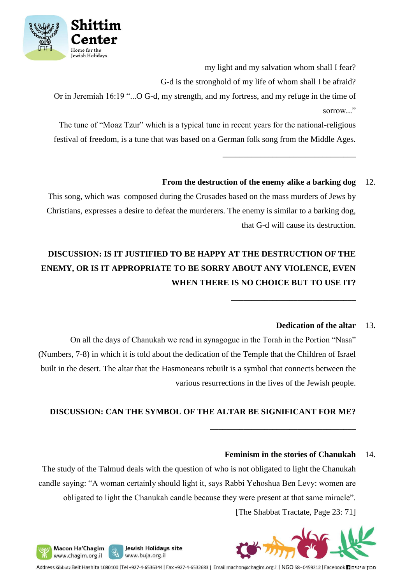

my light and my salvation whom shall I fear?

\_\_\_\_\_\_\_\_\_\_\_\_\_\_\_\_\_\_\_\_\_\_\_\_\_\_\_\_\_\_\_\_

**\_\_\_\_\_\_\_\_\_\_\_\_\_\_\_\_\_\_\_\_\_\_\_\_\_\_\_\_\_\_**

G-d is the stronghold of my life of whom shall I be afraid?

Or in Jeremiah 16:19 "...O G-d, my strength, and my fortress, and my refuge in the time of sorrow..."

The tune of "Moaz Tzur" which is a typical tune in recent years for the national-religious festival of freedom, is a tune that was based on a German folk song from the Middle Ages.

## **From the destruction of the enemy alike a barking dog** 12.

This song, which was composed during the Crusades based on the mass murders of Jews by Christians, expresses a desire to defeat the murderers. The enemy is similar to a barking dog, that G-d will cause its destruction.

# **DISCUSSION: IS IT JUSTIFIED TO BE HAPPY AT THE DESTRUCTION OF THE ENEMY, OR IS IT APPROPRIATE TO BE SORRY ABOUT ANY VIOLENCE, EVEN WHEN THERE IS NO CHOICE BUT TO USE IT?**

### **Dedication of the altar** 13**.**

On all the days of Chanukah we read in synagogue in the Torah in the Portion "Nasa" (Numbers, 7-8) in which it is told about the dedication of the Temple that the Children of Israel built in the desert. The altar that the Hasmoneans rebuilt is a symbol that connects between the various resurrections in the lives of the Jewish people.

## **DISCUSSION: CAN THE SYMBOL OF THE ALTAR BE SIGNIFICANT FOR ME?**

### **Feminism in the stories of Chanukah** 14.

**\_\_\_\_\_\_\_\_\_\_\_\_\_\_\_\_\_\_\_\_\_\_\_\_\_\_\_\_\_\_\_\_\_\_\_**

The study of the Talmud deals with the question of who is not obligated to light the Chanukah candle saying: "A woman certainly should light it, says Rabbi Yehoshua Ben Levy: women are obligated to light the Chanukah candle because they were present at that same miracle". [The Shabbat Tractate, Page 23: 71]



Address Kibbutz Beit Hashita 1080100 |Tel +927-4-6536344 | Fax +927-4-6532683 | Email machon@chagim.org.il | NGO 58-0459212 | Facebook 1 מכון שיטים

Jewish Holidays site

www.buja.org.il

Macon Ha'Chagim

www.chagim.org.il

y,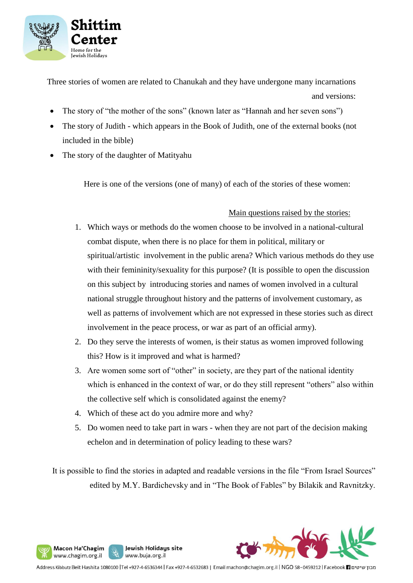

Three stories of women are related to Chanukah and they have undergone many incarnations and versions:

- The story of "the mother of the sons" (known later as "Hannah and her seven sons")
- The story of Judith which appears in the Book of Judith, one of the external books (not included in the bible)
- The story of the daughter of Matityahu

Here is one of the versions (one of many) of each of the stories of these women:

#### Main questions raised by the stories:

- 1. Which ways or methods do the women choose to be involved in a national-cultural combat dispute, when there is no place for them in political, military or spiritual/artistic involvement in the public arena? Which various methods do they use with their femininity/sexuality for this purpose? (It is possible to open the discussion on this subject by introducing stories and names of women involved in a cultural national struggle throughout history and the patterns of involvement customary, as well as patterns of involvement which are not expressed in these stories such as direct involvement in the peace process, or war as part of an official army).
- 2. Do they serve the interests of women, is their status as women improved following this? How is it improved and what is harmed?
- 3. Are women some sort of "other" in society, are they part of the national identity which is enhanced in the context of war, or do they still represent "others" also within the collective self which is consolidated against the enemy?
- 4. Which of these act do you admire more and why?

Jewish Holidays site

www.buja.org.il

Macon Ha'Chagim

www.chagim.org.il

y,

5. Do women need to take part in wars - when they are not part of the decision making echelon and in determination of policy leading to these wars?

It is possible to find the stories in adapted and readable versions in the file "From Israel Sources" edited by M.Y. Bardichevsky and in "The Book of Fables" by Bilakik and Ravnitzky.

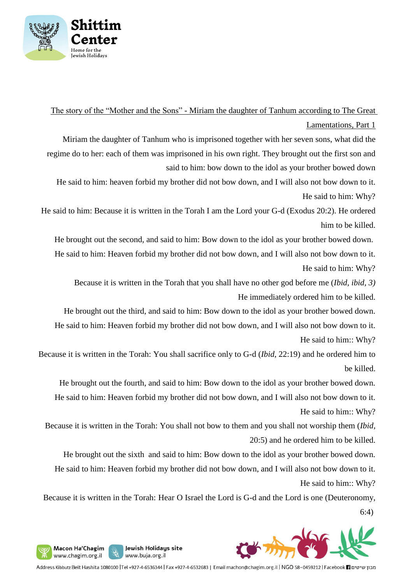

The story of the "Mother and the Sons" - Miriam the daughter of Tanhum according to The Great

Lamentations, Part 1

Miriam the daughter of Tanhum who is imprisoned together with her seven sons, what did the regime do to her: each of them was imprisoned in his own right. They brought out the first son and said to him: bow down to the idol as your brother bowed down

He said to him: heaven forbid my brother did not bow down, and I will also not bow down to it. He said to him: Why?

He said to him: Because it is written in the Torah I am the Lord your G-d (Exodus 20:2). He ordered him to be killed.

He brought out the second, and said to him: Bow down to the idol as your brother bowed down. He said to him: Heaven forbid my brother did not bow down, and I will also not bow down to it. He said to him: Why?

Because it is written in the Torah that you shall have no other god before me (*Ibid*, *ibid, 3)* He immediately ordered him to be killed.

He brought out the third, and said to him: Bow down to the idol as your brother bowed down. He said to him: Heaven forbid my brother did not bow down, and I will also not bow down to it. He said to him:: Why?

Because it is written in the Torah: You shall sacrifice only to G-d (*Ibid*, 22:19) and he ordered him to be killed.

He brought out the fourth, and said to him: Bow down to the idol as your brother bowed down. He said to him: Heaven forbid my brother did not bow down, and I will also not bow down to it.

He said to him:: Why?

Because it is written in the Torah: You shall not bow to them and you shall not worship them (*Ibid,*  20:5) and he ordered him to be killed.

He brought out the sixth and said to him: Bow down to the idol as your brother bowed down. He said to him: Heaven forbid my brother did not bow down, and I will also not bow down to it. He said to him:: Why?

Because it is written in the Torah: Hear O Israel the Lord is G-d and the Lord is one (Deuteronomy, 6:4)



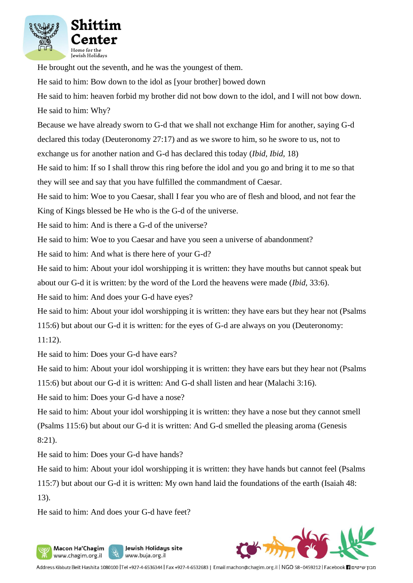

He brought out the seventh, and he was the youngest of them.

He said to him: Bow down to the idol as [your brother] bowed down

He said to him: heaven forbid my brother did not bow down to the idol, and I will not bow down. He said to him: Why?

Because we have already sworn to G-d that we shall not exchange Him for another, saying G-d

declared this today (Deuteronomy 27:17) and as we swore to him, so he swore to us, not to

exchange us for another nation and G-d has declared this today (*Ibid, Ibid*, 18)

He said to him: If so I shall throw this ring before the idol and you go and bring it to me so that they will see and say that you have fulfilled the commandment of Caesar.

He said to him: Woe to you Caesar, shall I fear you who are of flesh and blood, and not fear the

King of Kings blessed be He who is the G-d of the universe.

He said to him: And is there a G-d of the universe?

He said to him: Woe to you Caesar and have you seen a universe of abandonment?

He said to him: And what is there here of your G-d?

He said to him: About your idol worshipping it is written: they have mouths but cannot speak but about our G-d it is written: by the word of the Lord the heavens were made (*Ibid,* 33:6).

He said to him: And does your G-d have eyes?

He said to him: About your idol worshipping it is written: they have ears but they hear not (Psalms 115:6) but about our G-d it is written: for the eyes of G-d are always on you (Deuteronomy: 11:12).

He said to him: Does your G-d have ears?

He said to him: About your idol worshipping it is written: they have ears but they hear not (Psalms

115:6) but about our G-d it is written: And G-d shall listen and hear (Malachi 3:16).

He said to him: Does your G-d have a nose?

He said to him: About your idol worshipping it is written: they have a nose but they cannot smell (Psalms 115:6) but about our G-d it is written: And G-d smelled the pleasing aroma (Genesis 8:21).

He said to him: Does your G-d have hands?

He said to him: About your idol worshipping it is written: they have hands but cannot feel (Psalms 115:7) but about our G-d it is written: My own hand laid the foundations of the earth (Isaiah 48:

13).

He said to him: And does your G-d have feet?

y,

Macon Ha'Chagim

www.chagim.org.il

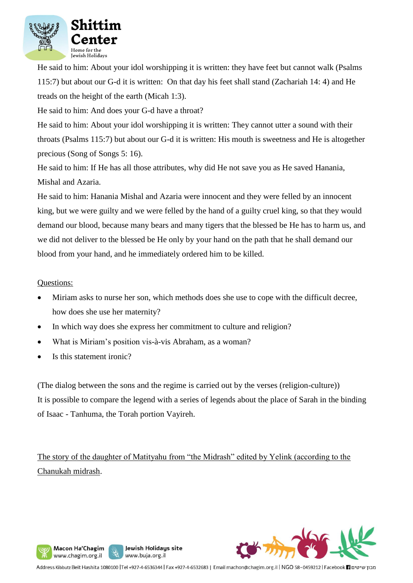

He said to him: About your idol worshipping it is written: they have feet but cannot walk (Psalms 115:7) but about our G-d it is written: On that day his feet shall stand (Zachariah 14: 4) and He treads on the height of the earth (Micah 1:3).

He said to him: And does your G-d have a throat?

He said to him: About your idol worshipping it is written: They cannot utter a sound with their throats (Psalms 115:7) but about our G-d it is written: His mouth is sweetness and He is altogether precious (Song of Songs 5: 16).

He said to him: If He has all those attributes, why did He not save you as He saved Hanania, Mishal and Azaria.

He said to him: Hanania Mishal and Azaria were innocent and they were felled by an innocent king, but we were guilty and we were felled by the hand of a guilty cruel king, so that they would demand our blood, because many bears and many tigers that the blessed be He has to harm us, and we did not deliver to the blessed be He only by your hand on the path that he shall demand our blood from your hand, and he immediately ordered him to be killed.

#### Questions:

- Miriam asks to nurse her son, which methods does she use to cope with the difficult decree, how does she use her maternity?
- In which way does she express her commitment to culture and religion?
- What is Miriam's position vis-à-vis Abraham, as a woman?

Jewish Holidays site

www.buja.org.il

• Is this statement ironic?

Macon Ha'Chagim www.chagim.org.il

(The dialog between the sons and the regime is carried out by the verses (religion-culture)) It is possible to compare the legend with a series of legends about the place of Sarah in the binding of Isaac - Tanhuma, the Torah portion Vayireh.

The story of the daughter of Matityahu from "the Midrash" edited by Yelink (according to the Chanukah midrash.

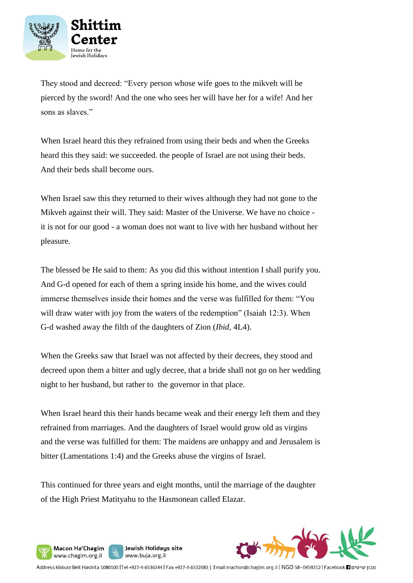

They stood and decreed: "Every person whose wife goes to the mikveh will be pierced by the sword! And the one who sees her will have her for a wife! And her sons as slaves."

When Israel heard this they refrained from using their beds and when the Greeks heard this they said: we succeeded. the people of Israel are not using their beds. And their beds shall become ours.

When Israel saw this they returned to their wives although they had not gone to the Mikveh against their will. They said: Master of the Universe. We have no choice it is not for our good - a woman does not want to live with her husband without her pleasure.

The blessed be He said to them: As you did this without intention I shall purify you. And G-d opened for each of them a spring inside his home, and the wives could immerse themselves inside their homes and the verse was fulfilled for them: "You will draw water with joy from the waters of the redemption" (Isaiah 12:3). When G-d washed away the filth of the daughters of Zion (*Ibid,* 4L4).

When the Greeks saw that Israel was not affected by their decrees, they stood and decreed upon them a bitter and ugly decree, that a bride shall not go on her wedding night to her husband, but rather to the governor in that place.

When Israel heard this their hands became weak and their energy left them and they refrained from marriages. And the daughters of Israel would grow old as virgins and the verse was fulfilled for them: The maidens are unhappy and and Jerusalem is bitter (Lamentations 1:4) and the Greeks abuse the virgins of Israel.

This continued for three years and eight months, until the marriage of the daughter of the High Priest Matityahu to the Hasmonean called Elazar.

Jewish Holidays site

www.buja.org.il

Macon Ha'Chagim

www.chagim.org.il

y,

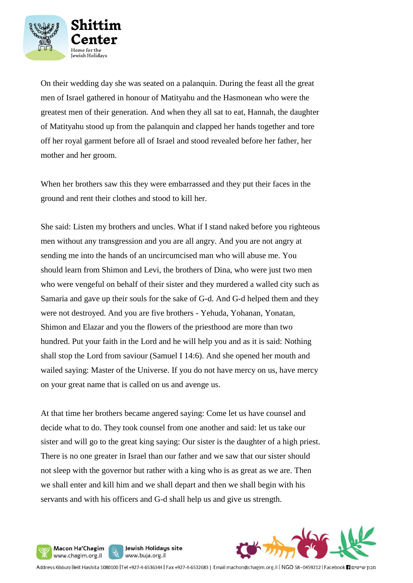

On their wedding day she was seated on a palanquin. During the feast all the great men of Israel gathered in honour of Matityahu and the Hasmonean who were the greatest men of their generation. And when they all sat to eat, Hannah, the daughter of Matityahu stood up from the palanquin and clapped her hands together and tore off her royal garment before all of Israel and stood revealed before her father, her mother and her groom.

When her brothers saw this they were embarrassed and they put their faces in the ground and rent their clothes and stood to kill her.

She said: Listen my brothers and uncles. What if I stand naked before you righteous men without any transgression and you are all angry. And you are not angry at sending me into the hands of an uncircumcised man who will abuse me. You should learn from Shimon and Levi, the brothers of Dina, who were just two men who were vengeful on behalf of their sister and they murdered a walled city such as Samaria and gave up their souls for the sake of G-d. And G-d helped them and they were not destroyed. And you are five brothers - Yehuda, Yohanan, Yonatan, Shimon and Elazar and you the flowers of the priesthood are more than two hundred. Put your faith in the Lord and he will help you and as it is said: Nothing shall stop the Lord from saviour (Samuel I 14:6). And she opened her mouth and wailed saying: Master of the Universe. If you do not have mercy on us, have mercy on your great name that is called on us and avenge us.

At that time her brothers became angered saying: Come let us have counsel and decide what to do. They took counsel from one another and said: let us take our sister and will go to the great king saying: Our sister is the daughter of a high priest. There is no one greater in Israel than our father and we saw that our sister should not sleep with the governor but rather with a king who is as great as we are. Then we shall enter and kill him and we shall depart and then we shall begin with his servants and with his officers and G-d shall help us and give us strength.

Jewish Holidays site

www.buja.org.il

Macon Ha'Chagim

www.chagim.org.il

S.